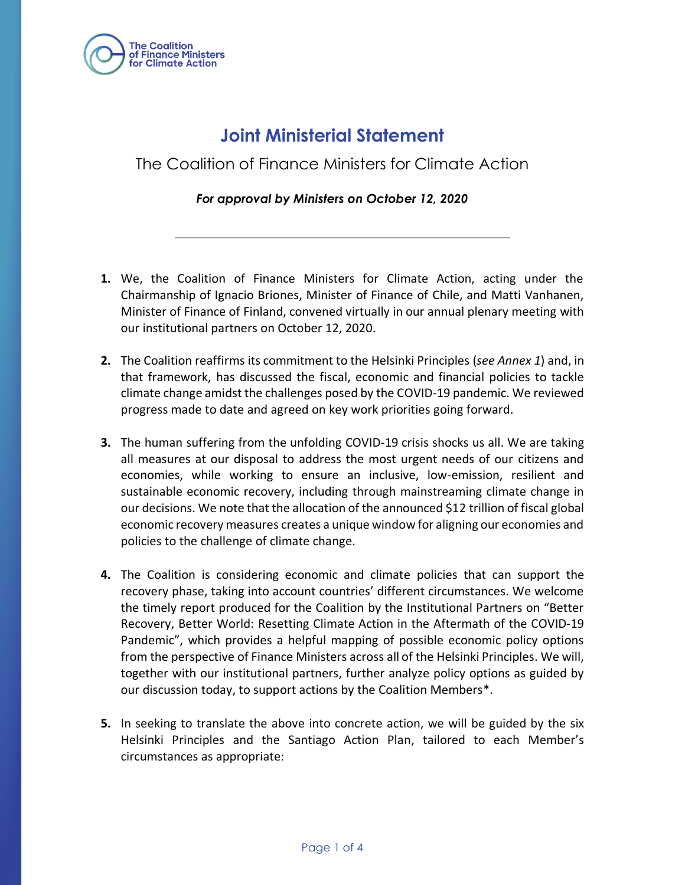

# **Joint Ministerial Statement**

The Coalition of Finance Ministers for Climate Action

#### *For approval by Ministers on October 12, 2020*

- **1.** We, the Coalition of Finance Ministers for Climate Action, acting under the Chairmanship of Ignacio Briones, Minister of Finance of Chile, and Matti Vanhanen, Minister of Finance of Finland, convened virtually in our annual plenary meeting with our institutional partners on October 12, 2020.
- **2.** The Coalition reaffirms its commitment to the Helsinki Principles (*see Annex 1*) and, in that framework, has discussed the fiscal, economic and financial policies to tackle climate change amidst the challenges posed by the COVID-19 pandemic. We reviewed progress made to date and agreed on key work priorities going forward.
- **3.** The human suffering from the unfolding COVID-19 crisis shocks us all. We are taking all measures at our disposal to address the most urgent needs of our citizens and economies, while working to ensure an inclusive, low-emission, resilient and sustainable economic recovery, including through mainstreaming climate change in our decisions. We note that the allocation of the announced \$12 trillion of fiscal global economic recovery measures creates a unique window for aligning our economies and policies to the challenge of climate change.
- **4.** The Coalition is considering economic and climate policies that can support the recovery phase, taking into account countries' different circumstances. We welcome the timely report produced for the Coalition by the Institutional Partners on "Better Recovery, Better World: Resetting Climate Action in the Aftermath of the COVID-19 Pandemic", which provides a helpful mapping of possible economic policy options from the perspective of Finance Ministers across all of the Helsinki Principles. We will, together with our institutional partners, further analyze policy options as guided by our discussion today, to support actions by the Coalition Members\*.
- **5.** In seeking to translate the above into concrete action, we will be guided by the six Helsinki Principles and the Santiago Action Plan, tailored to each Member's circumstances as appropriate: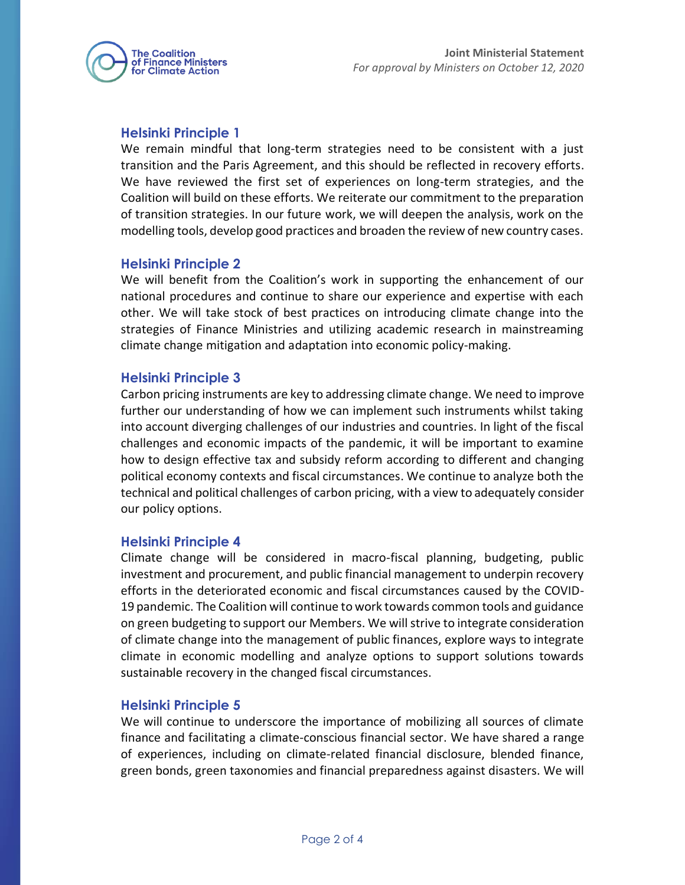

## **Helsinki Principle 1**

We remain mindful that long-term strategies need to be consistent with a just transition and the Paris Agreement, and this should be reflected in recovery efforts. We have reviewed the first set of experiences on long-term strategies, and the Coalition will build on these efforts. We reiterate our commitment to the preparation of transition strategies. In our future work, we will deepen the analysis, work on the modelling tools, develop good practices and broaden the review of new country cases.

## **Helsinki Principle 2**

We will benefit from the Coalition's work in supporting the enhancement of our national procedures and continue to share our experience and expertise with each other. We will take stock of best practices on introducing climate change into the strategies of Finance Ministries and utilizing academic research in mainstreaming climate change mitigation and adaptation into economic policy-making.

## **Helsinki Principle 3**

Carbon pricing instruments are key to addressing climate change. We need to improve further our understanding of how we can implement such instruments whilst taking into account diverging challenges of our industries and countries. In light of the fiscal challenges and economic impacts of the pandemic, it will be important to examine how to design effective tax and subsidy reform according to different and changing political economy contexts and fiscal circumstances. We continue to analyze both the technical and political challenges of carbon pricing, with a view to adequately consider our policy options.

#### **Helsinki Principle 4**

Climate change will be considered in macro-fiscal planning, budgeting, public investment and procurement, and public financial management to underpin recovery efforts in the deteriorated economic and fiscal circumstances caused by the COVID-19 pandemic. The Coalition will continue to work towards common tools and guidance on green budgeting to support our Members. We willstrive to integrate consideration of climate change into the management of public finances, explore ways to integrate climate in economic modelling and analyze options to support solutions towards sustainable recovery in the changed fiscal circumstances.

#### **Helsinki Principle 5**

We will continue to underscore the importance of mobilizing all sources of climate finance and facilitating a climate-conscious financial sector. We have shared a range of experiences, including on climate-related financial disclosure, blended finance, green bonds, green taxonomies and financial preparedness against disasters. We will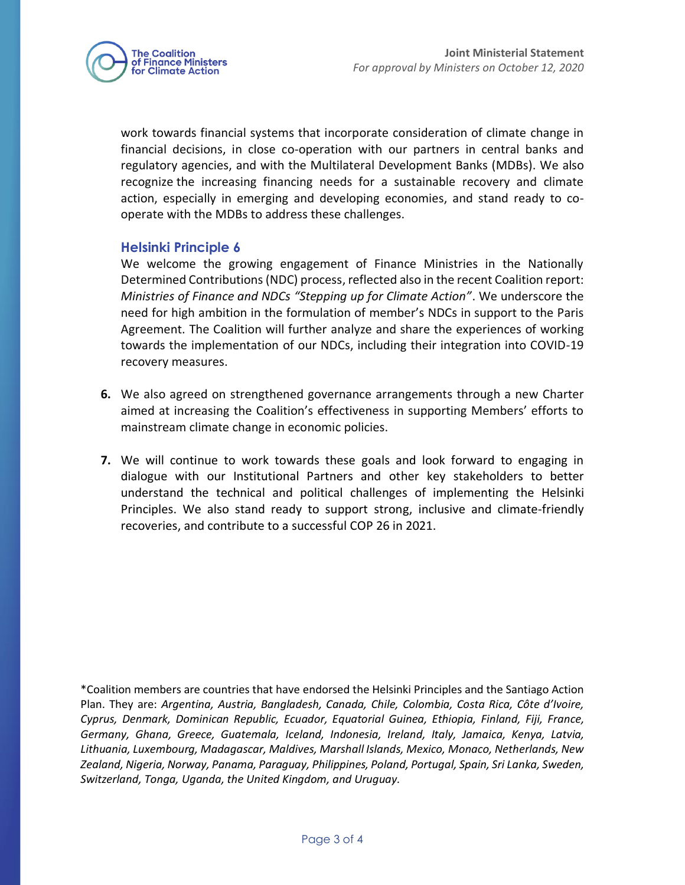

work towards financial systems that incorporate consideration of climate change in financial decisions, in close co-operation with our partners in central banks and regulatory agencies, and with the Multilateral Development Banks (MDBs). We also recognize the increasing financing needs for a sustainable recovery and climate action, especially in emerging and developing economies, and stand ready to cooperate with the MDBs to address these challenges.

## **Helsinki Principle 6**

We welcome the growing engagement of Finance Ministries in the Nationally Determined Contributions (NDC) process, reflected also in the recent Coalition report: *Ministries of Finance and NDCs "Stepping up for Climate Action"*. We underscore the need for high ambition in the formulation of member's NDCs in support to the Paris Agreement. The Coalition will further analyze and share the experiences of working towards the implementation of our NDCs, including their integration into COVID-19 recovery measures.

- **6.** We also agreed on strengthened governance arrangements through a new Charter aimed at increasing the Coalition's effectiveness in supporting Members' efforts to mainstream climate change in economic policies.
- **7.** We will continue to work towards these goals and look forward to engaging in dialogue with our Institutional Partners and other key stakeholders to better understand the technical and political challenges of implementing the Helsinki Principles. We also stand ready to support strong, inclusive and climate-friendly recoveries, and contribute to a successful COP 26 in 2021.

\*Coalition members are countries that have endorsed the Helsinki Principles and the Santiago Action Plan. They are: *Argentina, Austria, Bangladesh, Canada, Chile, Colombia, Costa Rica, Côte d'Ivoire, Cyprus, Denmark, Dominican Republic, Ecuador, Equatorial Guinea, Ethiopia, Finland, Fiji, France, Germany, Ghana, Greece, Guatemala, Iceland, Indonesia, Ireland, Italy, Jamaica, Kenya, Latvia, Lithuania, Luxembourg, Madagascar, Maldives, Marshall Islands, Mexico, Monaco, Netherlands, New Zealand, Nigeria, Norway, Panama, Paraguay, Philippines, Poland, Portugal, Spain, Sri Lanka, Sweden, Switzerland, Tonga, Uganda, the United Kingdom, and Uruguay.*